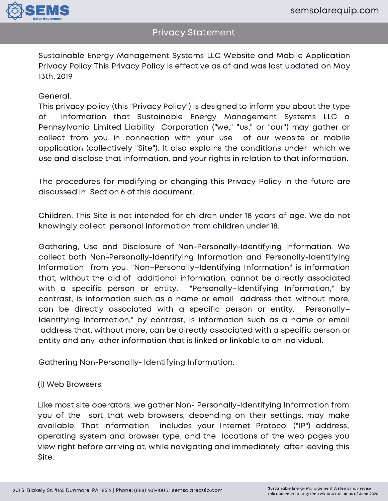

Sustainable Energy Management Systems LLC Website and Mobile Application Privacy Policy This Privacy Policy is effective as of and was last updated on May 13th, 2019

### General.

This privacy policy (this "Privacy Policy") is designed to inform you about the type of information that Sustainable Energy Management Systems LLC a Pennsylvania Limited Liability Corporation ("we," "us," or "our") may gather or collect from you in connection with your use of our website or mobile application (collectively "Site"). It also explains the conditions under which we use and disclose that information, and your rights in relation to that information.

The procedures for modifying or changing this Privacy Policy in the future are discussed in Section 6 of this document.

Children. This Site is not intended for children under 18 years of age. We do not knowingly collect personal information from children under 18.

Gathering, Use and Disclosure of Non-Personally-Identifying Information. We collect both Non-Personally-Identifying Information and Personally-Identifying Information from you. "Non–Personally–Identifying Information" is information that, without the aid of additional information, cannot be directly associated with a specific person or entity. "Personally–Identifying Information," by contrast, is information such as a name or email address that, without more, can be directly associated with a specific person or entity. Personally– Identifying Information," by contrast, is information such as a name or email address that, without more, can be directly associated with a specific person or entity and any other information that is linked or linkable to an individual.

Gathering Non-Personally- Identifying Information.

(i) Web Browsers.

Like most site operators, we gather Non- Personally-Identifying Information from you of the sort that web browsers, depending on their settings, may make available. That information includes your Internet Protocol ("IP") address, operating system and browser type, and the locations of the web pages you view right before arriving at, while navigating and immediately after leaving this Site.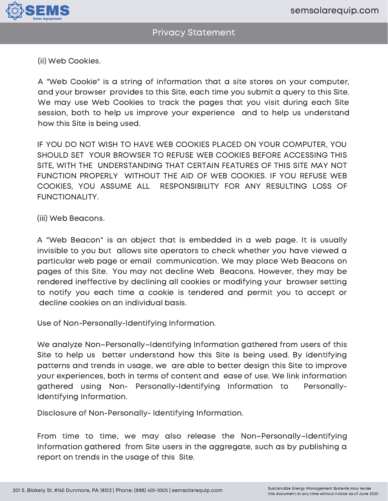

(ii) Web Cookies.

A "Web Cookie" is a string of information that a site stores on your computer, and your browser provides to this Site, each time you submit a query to this Site. We may use Web Cookies to track the pages that you visit during each Site session, both to help us improve your experience and to help us understand how this Site is being used.

IF YOU DO NOT WISH TO HAVE WEB COOKIES PLACED ON YOUR COMPUTER, YOU SHOULD SET YOUR BROWSER TO REFUSE WEB COOKIES BEFORE ACCESSING THIS SITE, WITH THE UNDERSTANDING THAT CERTAIN FEATURES OF THIS SITE MAY NOT FUNCTION PROPERLY WITHOUT THE AID OF WEB COOKIES. IF YOU REFUSE WEB COOKIES, YOU ASSUME ALL RESPONSIBILITY FOR ANY RESULTING LOSS OF FUNCTIONALITY.

(iii) Web Beacons.

A "Web Beacon" is an object that is embedded in a web page. It is usually invisible to you but allows site operators to check whether you have viewed a particular web page or email communication. We may place Web Beacons on pages of this Site. You may not decline Web Beacons. However, they may be rendered ineffective by declining all cookies or modifying your browser setting to notify you each time a cookie is tendered and permit you to accept or decline cookies on an individual basis.

Use of Non-Personally-Identifying Information.

We analyze Non–Personally–Identifying Information gathered from users of this Site to help us better understand how this Site is being used. By identifying patterns and trends in usage, we are able to better design this Site to improve your experiences, both in terms of content and ease of use. We link information gathered using Non- Personally-Identifying Information to Personally-Identifying Information.

Disclosure of Non-Personally- Identifying Information.

From time to time, we may also release the Non–Personally–Identifying Information gathered from Site users in the aggregate, such as by publishing a report on trends in the usage of this Site.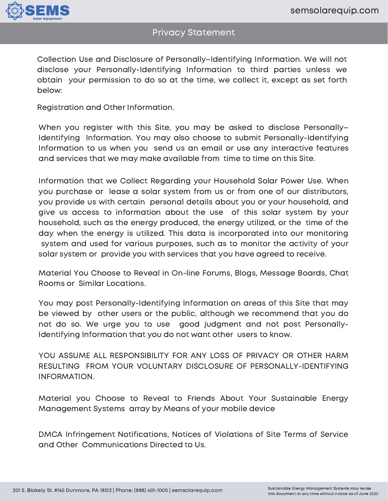

Collection Use and Disclosure of Personally–Identifying Information. We will not disclose your Personally-Identifying Information to third parties unless we obtain your permission to do so at the time, we collect it, except as set forth below:

Registration and Other Information.

When you register with this Site, you may be asked to disclose Personally-Identifying Information. You may also choose to submit Personally-Identifying Information to us when you send us an email or use any interactive features and services that we may make available from time to time on this Site.

Information that we Collect Regarding your Household Solar Power Use. When you purchase or lease a solar system from us or from one of our distributors, you provide us with certain personal details about you or your household, and give us access to information about the use of this solar system by your household, such as the energy produced, the energy utilized, or the time of the day when the energy is utilized. This data is incorporated into our monitoring system and used for various purposes, such as to monitor the activity of your solar system or provide you with services that you have agreed to receive.

Material You Choose to Reveal in On-line Forums, Blogs, Message Boards, Chat Rooms or Similar Locations.

You may post Personally-Identifying Information on areas of this Site that may be viewed by other users or the public, although we recommend that you do not do so. We urge you to use good judgment and not post Personally-Identifying Information that you do not want other users to know.

YOU ASSUME ALL RESPONSIBILITY FOR ANY LOSS OF PRIVACY OR OTHER HARM RESULTING FROM YOUR VOLUNTARY DISCLOSURE OF PERSONALLY-IDENTIFYING INFORMATION.

Material you Choose to Reveal to Friends About Your Sustainable Energy Management Systems array by Means of your mobile device

DMCA Infringement Notifications, Notices of Violations of Site Terms of Service and Other Communications Directed to Us.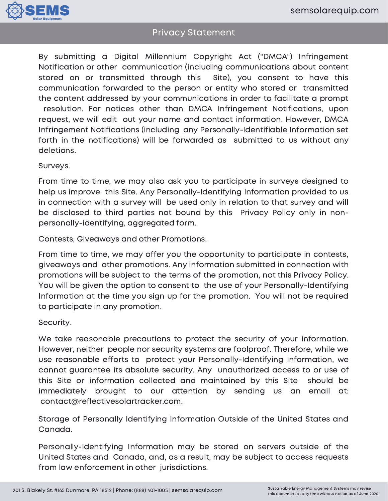

By submitting a Digital Millennium Copyright Act ("DMCA") Infringement Notification or other communication (including communications about content stored on or transmitted through this Site), you consent to have this communication forwarded to the person or entity who stored or transmitted the content addressed by your communications in order to facilitate a prompt resolution. For notices other than DMCA Infringement Notifications, upon request, we will edit out your name and contact information. However, DMCA Infringement Notifications (including any Personally-Identifiable Information set forth in the notifications) will be forwarded as submitted to us without any deletions.

Surveys.

From time to time, we may also ask you to participate in surveys designed to help us improve this Site. Any Personally-Identifying Information provided to us in connection with a survey will be used only in relation to that survey and will be disclosed to third parties not bound by this Privacy Policy only in nonpersonally-identifying, aggregated form.

Contests, Giveaways and other Promotions.

From time to time, we may offer you the opportunity to participate in contests, giveaways and other promotions. Any information submitted in connection with promotions will be subject to the terms of the promotion, not this Privacy Policy. You will be given the option to consent to the use of your Personally-Identifying Information at the time you sign up for the promotion. You will not be required to participate in any promotion.

### Security.

We take reasonable precautions to protect the security of your information. However, neither people nor security systems are foolproof. Therefore, while we use reasonable efforts to protect your Personally-Identifying Information, we cannot guarantee its absolute security. Any unauthorized access to or use of this Site or information collected and maintained by this Site should be immediately brought to our attention by sending us an email at: contact@reflectivesolartracker.com.

Storage of Personally Identifying Information Outside of the United States and Canada.

Personally-Identifying Information may be stored on servers outside of the United States and Canada, and, as a result, may be subject to access requests from law enforcement in other jurisdictions.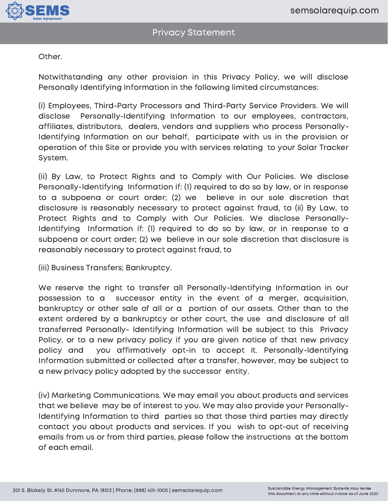

Other.

Notwithstanding any other provision in this Privacy Policy, we will disclose Personally Identifying Information in the following limited circumstances:

(i) Employees, Third-Party Processors and Third-Party Service Providers. We will disclose Personally-Identifying Information to our employees, contractors, affiliates, distributors, dealers, vendors and suppliers who process Personally-Identifying Information on our behalf, participate with us in the provision or operation of this Site or provide you with services relating to your Solar Tracker System.

(ii) By Law, to Protect Rights and to Comply with Our Policies. We disclose Personally-Identifying Information if: (1) required to do so by law, or in response to a subpoena or court order; (2) we believe in our sole discretion that disclosure is reasonably necessary to protect against fraud, to (ii) By Law, to Protect Rights and to Comply with Our Policies. We disclose Personally-Identifying Information if: (1) required to do so by law, or in response to a subpoena or court order; (2) we believe in our sole discretion that disclosure is reasonably necessary to protect against fraud, to

(iii) Business Transfers; Bankruptcy.

We reserve the right to transfer all Personally-Identifying Information in our possession to a successor entity in the event of a merger, acquisition, bankruptcy or other sale of all or a portion of our assets. Other than to the extent ordered by a bankruptcy or other court, the use and disclosure of all transferred Personally- Identifying Information will be subject to this Privacy Policy, or to a new privacy policy if you are given notice of that new privacy policy and you affirmatively opt-in to accept it. Personally-Identifying Information submitted or collected after a transfer, however, may be subject to a new privacy policy adopted by the successor entity.

(iv) Marketing Communications. We may email you about products and services that we believe may be of interest to you. We may also provide your Personally-Identifying Information to third parties so that those third parties may directly contact you about products and services. If you wish to opt-out of receiving emails from us or from third parties, please follow the instructions at the bottom of each email.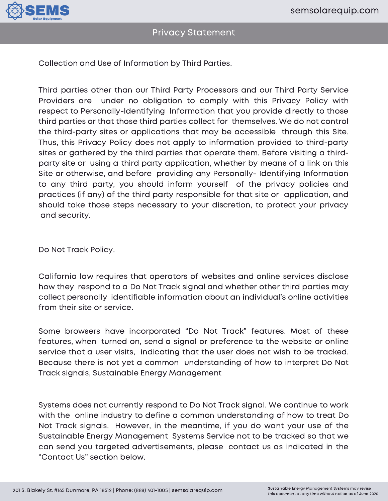

Collection and Use of Information by Third Parties.

Third parties other than our Third Party Processors and our Third Party Service Providers are under no obligation to comply with this Privacy Policy with respect to Personally-Identifying Information that you provide directly to those third parties or that those third parties collect for themselves. We do not control the third-party sites or applications that may be accessible through this Site. Thus, this Privacy Policy does not apply to information provided to third-party sites or gathered by the third parties that operate them. Before visiting a thirdparty site or using a third party application, whether by means of a link on this Site or otherwise, and before providing any Personally- Identifying Information to any third party, you should inform yourself of the privacy policies and practices (if any) of the third party responsible for that site or application, and should take those steps necessary to your discretion, to protect your privacy and security.

Do Not Track Policy.

California law requires that operators of websites and online services disclose how they respond to a Do Not Track signal and whether other third parties may collect personally identifiable information about an individual's online activities from their site or service.

Some browsers have incorporated "Do Not Track" features. Most of these features, when turned on, send a signal or preference to the website or online service that a user visits, indicating that the user does not wish to be tracked. Because there is not yet a common understanding of how to interpret Do Not Track signals, Sustainable Energy Management

Systems does not currently respond to Do Not Track signal. We continue to work with the online industry to define a common understanding of how to treat Do Not Track signals. However, in the meantime, if you do want your use of the Sustainable Energy Management Systems Service not to be tracked so that we can send you targeted advertisements, please contact us as indicated in the "Contact Us" section below.